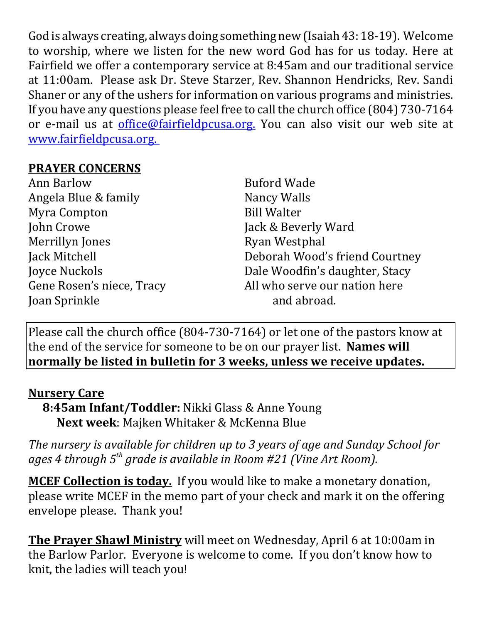God is always creating, always doing something new (Isaiah 43: 18-19). Welcome to worship, where we listen for the new word God has for us today. Here at Fairfield we offer a contemporary service at 8:45am and our traditional service at 11:00am. Please ask Dr. Steve Starzer, Rev. Shannon Hendricks, Rev. Sandi Shaner or any of the ushers for information on various programs and ministries. If you have any questions please feel free to call the church office (804) 730-7164 or e-mail us at *office@fairfieldpcusa.org*. You can also visit our web site at www.fairfieldpcusa.org.

## **PRAYER CONCERNS**

Ann Barlow Angela Blue & family Myra Compton John Crowe Merrillyn Jones Jack Mitchell Joyce Nuckols Gene Rosen's niece, Tracy Joan Sprinkle

Buford Wade Nancy Walls Bill Walter Jack & Beverly Ward Ryan Westphal Deborah Wood's friend Courtney Dale Woodfin's daughter, Stacy All who serve our nation here and abroad.

Please call the church office (804-730-7164) or let one of the pastors know at the end of the service for someone to be on our prayer list. **Names will normally be listed in bulletin for 3 weeks, unless we receive updates.**

## **Nursery Care**

**8:45am Infant/Toddler:** Nikki Glass & Anne Young **Next week**: Majken Whitaker & McKenna Blue

*The nursery is available for children up to 3 years of age and Sunday School for ages 4 through 5th grade is available in Room #21 (Vine Art Room).*

**MCEF Collection is today.** If you would like to make a monetary donation, please write MCEF in the memo part of your check and mark it on the offering envelope please. Thank you!

**The Prayer Shawl Ministry** will meet on Wednesday, April 6 at 10:00am in the Barlow Parlor. Everyone is welcome to come. If you don't know how to knit, the ladies will teach you!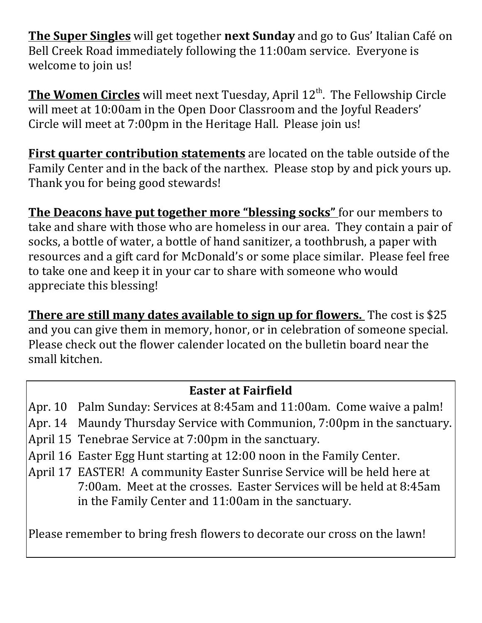**The Super Singles** will get together **next Sunday** and go to Gus' Italian Café on Bell Creek Road immediately following the 11:00am service. Everyone is welcome to join us!

**The Women Circles** will meet next Tuesday, April 12<sup>th</sup>. The Fellowship Circle will meet at 10:00am in the Open Door Classroom and the Joyful Readers' Circle will meet at 7:00pm in the Heritage Hall. Please join us!

**First quarter contribution statements** are located on the table outside of the Family Center and in the back of the narthex. Please stop by and pick yours up. Thank you for being good stewards!

**The Deacons have put together more "blessing socks"** for our members to take and share with those who are homeless in our area. They contain a pair of socks, a bottle of water, a bottle of hand sanitizer, a toothbrush, a paper with resources and a gift card for McDonald's or some place similar. Please feel free to take one and keep it in your car to share with someone who would appreciate this blessing!

**There are still many dates available to sign up for flowers.** The cost is \$25 and you can give them in memory, honor, or in celebration of someone special. Please check out the flower calender located on the bulletin board near the small kitchen.

## **Easter at Fairfield**

Apr. 10 Palm Sunday: Services at 8:45am and 11:00am. Come waive a palm!

- Apr. 14 Maundy Thursday Service with Communion, 7:00pm in the sanctuary.
- April 15 Tenebrae Service at 7:00pm in the sanctuary.
- April 16 Easter Egg Hunt starting at 12:00 noon in the Family Center.
- April 17 EASTER! A community Easter Sunrise Service will be held here at 7:00am. Meet at the crosses. Easter Services will be held at 8:45am in the Family Center and 11:00am in the sanctuary.

Please remember to bring fresh flowers to decorate our cross on the lawn!